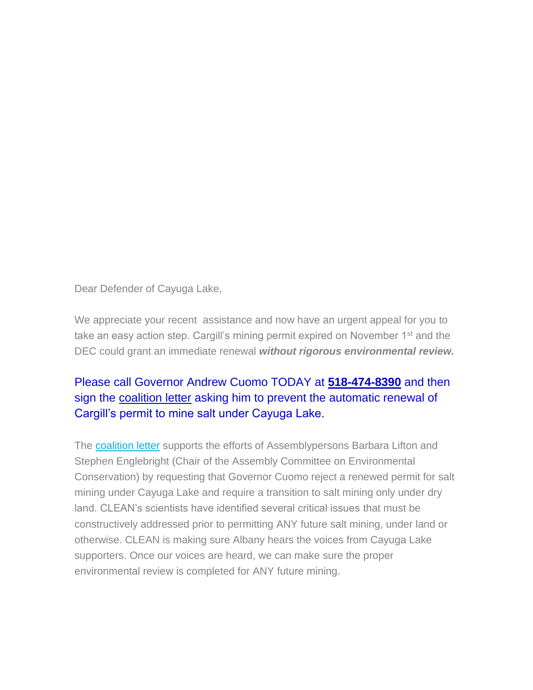Dear Defender of Cayuga Lake,

We appreciate your recent assistance and now have an urgent appeal for you to take an easy action step. Cargill's mining permit expired on November 1<sup>st</sup> and the DEC could grant an immediate renewal *without rigorous environmental review.*

## Please call Governor Andrew Cuomo TODAY at **518-474-8390** and then sign the [coalition letter](http://www.toxicstargeting.com/MarcellusShale/letters/2017/07/20/coal-letter-to-gov-cuomo-re-salt-mining-under-cayuga-lake) asking him to prevent the automatic renewal of Cargill's permit to mine salt under Cayuga Lake.

The [coalition letter](http://www.toxicstargeting.com/MarcellusShale/letters/2017/07/20/coal-letter-to-gov-cuomo-re-salt-mining-under-cayuga-lake) supports the efforts of Assemblypersons Barbara Lifton and Stephen Englebright (Chair of the Assembly Committee on Environmental Conservation) by requesting that Governor Cuomo reject a renewed permit for salt mining under Cayuga Lake and require a transition to salt mining only under dry land. CLEAN's scientists have identified several critical issues that must be constructively addressed prior to permitting ANY future salt mining, under land or otherwise. CLEAN is making sure Albany hears the voices from Cayuga Lake supporters. Once our voices are heard, we can make sure the proper environmental review is completed for ANY future mining.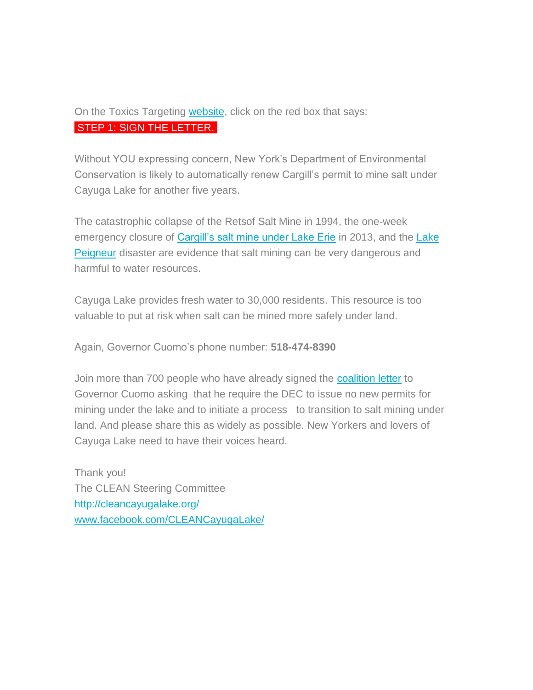## On the Toxics Targeting [website,](http://www.toxicstargeting.com/MarcellusShale/letters/2017/07/20/coal-letter-to-gov-cuomo-re-salt-mining-under-cayuga-lake) click on the red box that says: STEP 1: SIGN THE LETTER.

Without YOU expressing concern, New York's Department of Environmental Conservation is likely to automatically renew Cargill's permit to mine salt under Cayuga Lake for another five years.

The catastrophic collapse of the Retsof Salt Mine in 1994, the one-week emergency closure of [Cargill's salt mine under Lake Erie](http://www.cleveland.com/business/index.ssf/2013/08/cargill_salt.html) in 2013, and the Lake **[Peigneur](https://www.youtube.com/watch?v=3cXnxGIDhOA)** disaster are evidence that salt mining can be very dangerous and harmful to water resources.

Cayuga Lake provides fresh water to 30,000 residents. This resource is too valuable to put at risk when salt can be mined more safely under land.

Again, Governor Cuomo's phone number: **518-474-8390**

Join more than 700 people who have already signed the [coalition letter](http://www.toxicstargeting.com/MarcellusShale/letters/2017/07/20/coal-letter-to-gov-cuomo-re-salt-mining-under-cayuga-lake) to Governor Cuomo asking that he require the DEC to issue no new permits for mining under the lake and to initiate a process to transition to salt mining under land. And please share this as widely as possible. New Yorkers and lovers of Cayuga Lake need to have their voices heard.

Thank you! The CLEAN Steering Committee <http://cleancayugalake.org/> [www.facebook.com/CLEANCayugaLake/](http://cleancayugalake.org/)